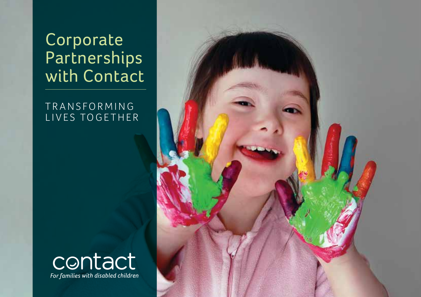Corporate **Partnerships** with Contact

T R A N S F O R M I N G LIVES TOGETHER



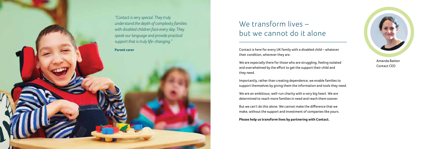Amanda Batten Contact CEO

# We transform lives – but we cannot do it alone

Contact is here for every UK family with a disabled child – whatever their condition, wherever they are.

We are especially there for those who are struggling, feeling isolated and overwhelmed by the effort to get the support their child and they need.

Importantly, rather than creating dependence, we enable families to support themselves by giving them the information and tools they need.

We are an ambitious, well-run charity with a very big heart. We are determined to reach more families in need and reach them sooner.

But we can't do this alone. We cannot make the difference that we make, without the support and investment of companies like yours.

**Please help us transform lives by partnering with Contact.** 



*"Contact is very special. They truly understand the depth of complexity families with disabled children face every day. They speak our language and provide practical support that is truly life-changing."* **Parent carer**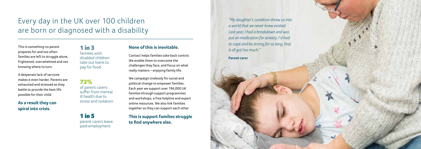# Every day in the UK over 100 children are born or diagnosed with a disability

1 in 3 families with disabled children take out loans to pay for food

72% of parent carers suffer from mental ill health due to stress and isolation

1 in 5 parent carers leave paid employment

#### **None of this is inevitable.**

Contact helps families take back control. We enable them to overcome the challenges they face, and focus on what really matters – enjoying family life.

We campaign tirelessly for social and political change to empower families. Each year we support over 196,000 UK families through support programmes and workshops, a free helpline and expert online resources. We also link families together so they can support each other.

### **This is support families struggle to find anywhere else.**



*a world that we never knew existed. Last year, I had a breakdown and was put on medication for anxiety. I'd had to cope and be strong for so long, that it all got too much."*

This is something no parent prepares for and too often families are left to struggle alone, frightened, overwhelmed and not knowing where to turn.

A desperate lack of services makes it even harder. Parents are exhausted and stressed as they battle to provide the best life possible for their child.

**As a result they can spiral into crisis.**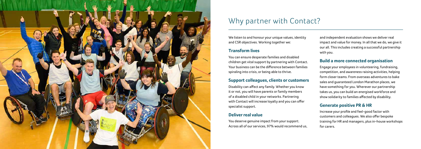

## Why partner with Contact?

We listen to and honour your unique values, identity and CSR objectives. Working together we:

#### **Transform lives**

You can ensure desperate families and disabled children get vital support by partnering with Contact. Your business can be the difference between families spiraling into crisis, or being able to thrive.

#### **Support colleagues, clients or customers**

Disability can affect any family. Whether you know it or not, you will have parents or family members of a disabled child in your networks. Partnering with Contact will increase loyalty and you can offer specialist support.

#### **Deliver real value**

You deserve genuine impact from your support. Across all of our services, 97% would recommend us, and independent evaluation shows we deliver real impact and value for money. In all that we do, we give it our all. This includes creating a successful partnership with you.

### **Build a more connected organisation**

Engage your employees in volunteering, fundraising, competition, and awareness raising activities, helping form closer teams. From overseas adventures to bake sales and guaranteed London Marathon places, we have something for you. Wherever our partnership takes us, you can build an energised workforce and show solidarity to families affected by disability.

#### **Generate positive PR & HR**

Increase your profile and feel-good factor with customers and colleagues. We also offer bespoke training for HR and managers, plus in-house workshops for carers.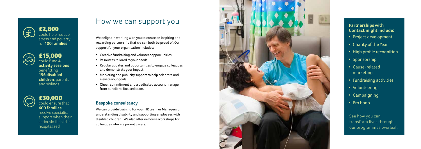See how you can transform lives through our programmes overleaf.

### How we can support you

We delight in working with you to create an inspiring and rewarding partnership that we can both be proud of. Our support for your organisation includes: • Creative fundraising and volunteer opportunities

- 
- Resources tailored to your needs
- Regular updates and opportunities to engage colleagues and demonstrate your impact
- Marketing and publicity support to help celebrate and elevate your goals
- Cheer, commitment and a dedicated account manager from our client-focused team.
- Project development Project development
- Charity of the Year
- High profile recognition
- Sponsorship Sponsorship
- Cause-related Cause-related marketing marketing
- Fundraising activities Fundraising activities
- Volunteering
- Campaigning
- Pro bono Pro bono

#### **Bespoke consultancy**

We can provide training for your HR team or Managers on understanding disability and supporting employees with disabled children. We also offer in-house workshops for colleagues who are parent carers.



#### **Partnerships with Partnerships with Contact might include:**

£30,000 could ensure that **600 families** 

receive specialist support when their seriously ill child is hospitalised





£15,000



could fund **4 activity sessions**  benefitting **196 disabled children**, parents and siblings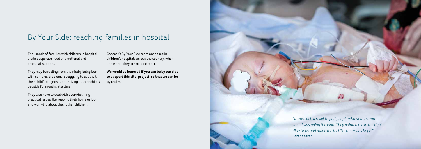### By Your Side: reaching families in hospital

Thousands of families with children in hospital are in desperate need of emotional and practical support.

They may be reeling from their baby being born with complex problems, struggling to cope with their child's diagnosis, or be living at their child's bedside for months at a time.

They also have to deal with overwhelming practical issues like keeping their home or job and worrying about their other children.

Contact's By Your Side team are based in children's hospitals across the country, when and where they are needed most.

**We would be honored if you can be by our side to support this vital project, so that we can be by theirs.**

> *"It was such a relief to find people who understood what I was going through. They pointed me in the right directions and made me feel like there was hope."*

**Parent carer**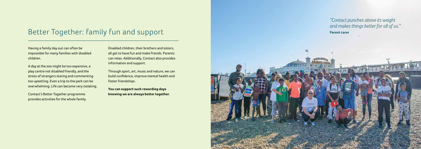# Better Together: family fun and support

Having a family day out can often be impossible for many families with disabled children.

A day at the zoo might be too expensive, a play centre not disabled friendly, and the stress of strangers staring and commenting too upsetting. Even a trip to the park can be overwhelming. Life can become very isolating.

Contact's Better Together programme provides activities for the whole family. Disabled children, their brothers and sisters, all get to have fun and make friends. Parents can relax. Additionally, Contact also provides information and support.

Through sport, art, music and nature, we can build confidence, improve mental health and foster friendships.

**You can support such rewarding days knowing we are always better together.**



*"Contact punches above its weight and makes things better for all of us."* **Parent carer**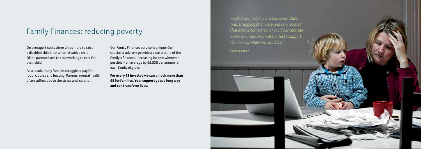## Family Finances: reducing poverty

On average it costs three times more to raise a disabled child than a non-disabled child. Often parents have to stop working to care for their child.

As a result, many families struggle to pay for food, clothes and heating. Parents' mental health often suffers due to the stress and isolation.

Our Family Finances service is unique. Our specialist advisers provide a clear picture of the family's finances, increasing income wherever possible – on average by £5,538 per annum for each family eligible.

**For every £1 invested we can unlock more than £8 for families. Your support goes a long way and can transform lives.** 

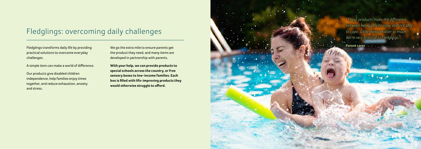# Fledglings: overcoming daily challenges

Fledglings transforms daily life by providing practical solutions to overcome everyday challenges.

A simple item can make a world of difference.

Our products give disabled children independence, help families enjoy times together, and reduce exhaustion, anxiety and stress.

We go the extra mile to ensure parents get the product they need, and many items are developed in partnership with parents.

**With your help, we can provide products to special schools across the country, or free sensory boxes to low-income families. Each box is filled with life-improving products they would otherwise struggle to afford.**



*"These products make the difference between being able to cope, and not able to cope. Little things matter so much. We're very grateful to Fledglings."*

**Parent carer**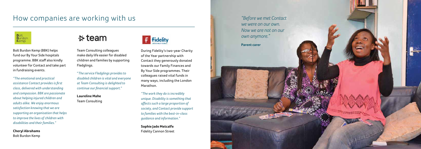### How companies are working with us



Bolt Burdon Kemp (BBK) helps fund our By Your Side hospitals programme. BBK staff also kindly volunteer for Contact and take part in fundraising events.

*"The emotional and practical assistance Contact provides is first class, delivered with understanding and compassion. BBK are passionate about helping injured children and adults alike. We enjoy enormous satisfaction knowing that we are supporting an organisation that helps to improve the lives of children with disabilities and their families."* 

**Cheryl Abrahams** Bolt Burdon Kemp

### $\div$  team

Team Consulting colleagues make daily life easier for disabled children and families by supporting Fledglings.

"*The service Fledglings provides to disabled children is vital and everyone at Team Consulting is delighted to continue our financial support.*"

#### **Laureline Mahe**

Team Consulting



During Fidelity's two-year Charity of the Year partnership with Contact they generously donated towards our Family Finances and By Your Side programmes. Their colleagues raised vital funds in many ways, including the London Marathon.

 $F$  Fidelity

*"The work they do is incredibly unique. Disability is something that affects such a large proportion of society, and Contact provide support to families with the best-in-class guidance and information."* 

**Sophie Jade Metcalfe**  Fidelity Cannon Street